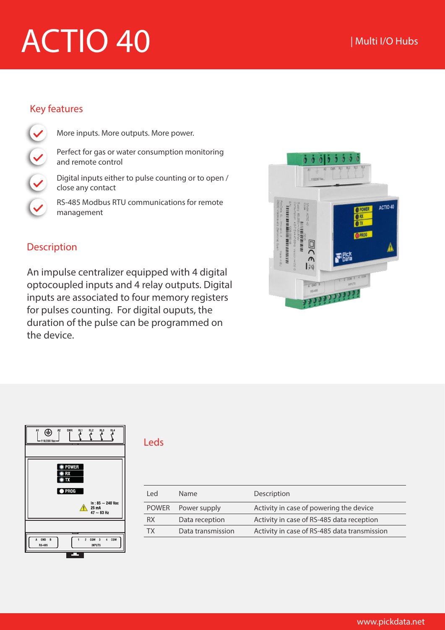# ACTIO 40

## Key features

More inputs. More outputs. More power.

Perfect for gas or water consumption monitoring and remote control

Digital inputs either to pulse counting or to open / close any contact

RS-485 Modbus RTU communications for remote management

## Description

An impulse centralizer equipped with 4 digital optocoupled inputs and 4 relay outputs. Digital inputs are associated to four memory registers for pulses counting. For digital ouputs, the duration of the pulse can be programmed on the device.





#### Leds

| l ed         | <b>Name</b>       | Description                                  |
|--------------|-------------------|----------------------------------------------|
| <b>POWER</b> | Power supply      | Activity in case of powering the device      |
| <b>RX</b>    | Data reception    | Activity in case of RS-485 data reception    |
| ТΧ           | Data transmission | Activity in case of RS-485 data transmission |